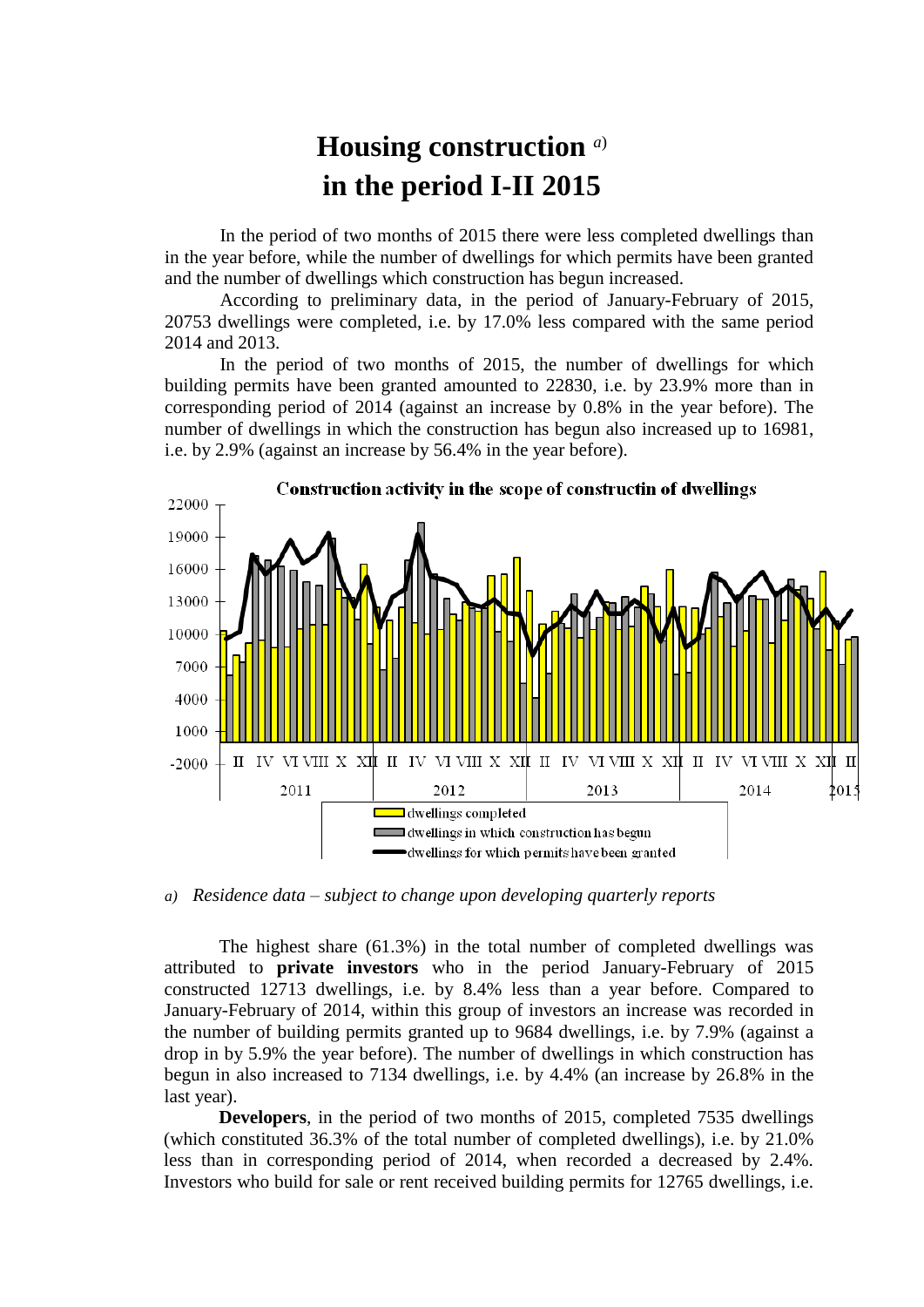## **Housing construction** *a*) **in the period I-II 2015**

In the period of two months of 2015 there were less completed dwellings than in the year before, while the number of dwellings for which permits have been granted and the number of dwellings which construction has begun increased.

According to preliminary data, in the period of January-February of 2015, 20753 dwellings were completed, i.e. by 17.0% less compared with the same period 2014 and 2013.

In the period of two months of 2015, the number of dwellings for which building permits have been granted amounted to 22830, i.e. by 23.9% more than in corresponding period of 2014 (against an increase by 0.8% in the year before). The number of dwellings in which the construction has begun also increased up to 16981, i.e. by 2.9% (against an increase by 56.4% in the year before).



*a) Residence data – subject to change upon developing quarterly reports*

The highest share (61.3%) in the total number of completed dwellings was attributed to **private investors** who in the period January-February of 2015 constructed 12713 dwellings, i.e. by 8.4% less than a year before. Compared to January-February of 2014, within this group of investors an increase was recorded in the number of building permits granted up to 9684 dwellings, i.e. by 7.9% (against a drop in by 5.9% the year before). The number of dwellings in which construction has begun in also increased to 7134 dwellings, i.e. by 4.4% (an increase by 26.8% in the last year).

**Developers**, in the period of two months of 2015, completed 7535 dwellings (which constituted 36.3% of the total number of completed dwellings), i.e. by 21.0% less than in corresponding period of 2014, when recorded a decreased by 2.4%. Investors who build for sale or rent received building permits for 12765 dwellings, i.e.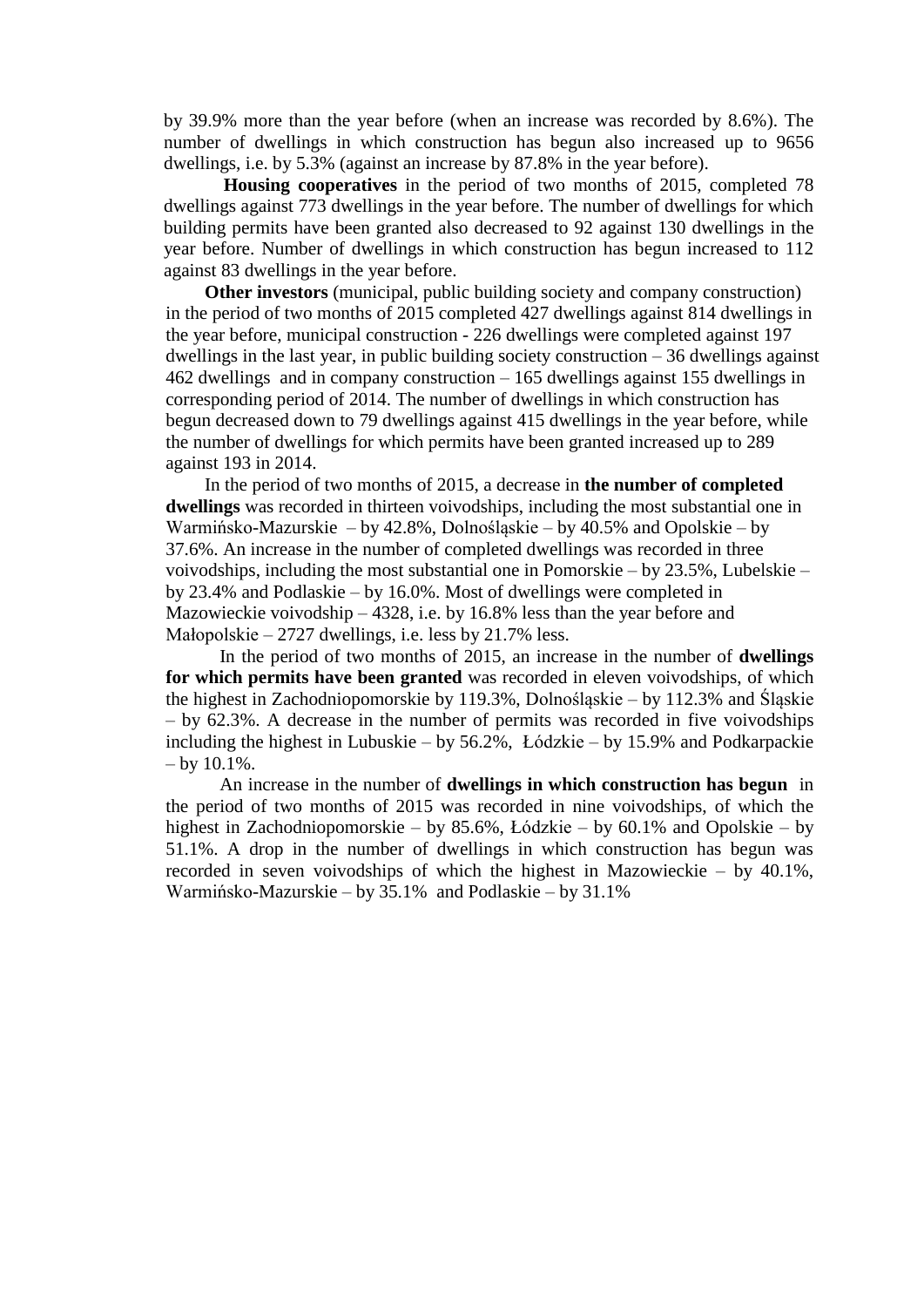by 39.9% more than the year before (when an increase was recorded by 8.6%). The number of dwellings in which construction has begun also increased up to 9656 dwellings, i.e. by 5.3% (against an increase by 87.8% in the year before).

**Housing cooperatives** in the period of two months of 2015, completed 78 dwellings against 773 dwellings in the year before. The number of dwellings for which building permits have been granted also decreased to 92 against 130 dwellings in the year before. Number of dwellings in which construction has begun increased to 112 against 83 dwellings in the year before.

**Other investors** (municipal, public building society and company construction) in the period of two months of 2015 completed 427 dwellings against 814 dwellings in the year before, municipal construction - 226 dwellings were completed against 197 dwellings in the last year, in public building society construction  $-36$  dwellings against 462 dwellings and in company construction – 165 dwellings against 155 dwellings in corresponding period of 2014. The number of dwellings in which construction has begun decreased down to 79 dwellings against 415 dwellings in the year before, while the number of dwellings for which permits have been granted increased up to 289 against 193 in 2014.

In the period of two months of 2015, a decrease in **the number of completed dwellings** was recorded in thirteen voivodships, including the most substantial one in Warmińsko-Mazurskie – by 42.8%, Dolnośląskie – by 40.5% and Opolskie – by 37.6%. An increase in the number of completed dwellings was recorded in three voivodships, including the most substantial one in Pomorskie – by 23.5%, Lubelskie – by 23.4% and Podlaskie – by 16.0%. Most of dwellings were completed in Mazowieckie voivodship – 4328, i.e. by 16.8% less than the year before and Małopolskie – 2727 dwellings, i.e. less by 21.7% less.

In the period of two months of 2015, an increase in the number of **dwellings for which permits have been granted** was recorded in eleven voivodships, of which the highest in Zachodniopomorskie by 119.3%, Dolnośląskie – by 112.3% and Śląskie – by 62.3%. A decrease in the number of permits was recorded in five voivodships including the highest in Lubuskie – by 56.2%, Łódzkie – by 15.9% and Podkarpackie  $-$  by 10.1%.

An increase in the number of **dwellings in which construction has begun** in the period of two months of 2015 was recorded in nine voivodships, of which the highest in Zachodniopomorskie – by 85.6%, Łódzkie – by 60.1% and Opolskie – by 51.1%. A drop in the number of dwellings in which construction has begun was recorded in seven voivodships of which the highest in Mazowieckie – by 40.1%, Warmińsko-Mazurskie – by 35.1% and Podlaskie – by 31.1%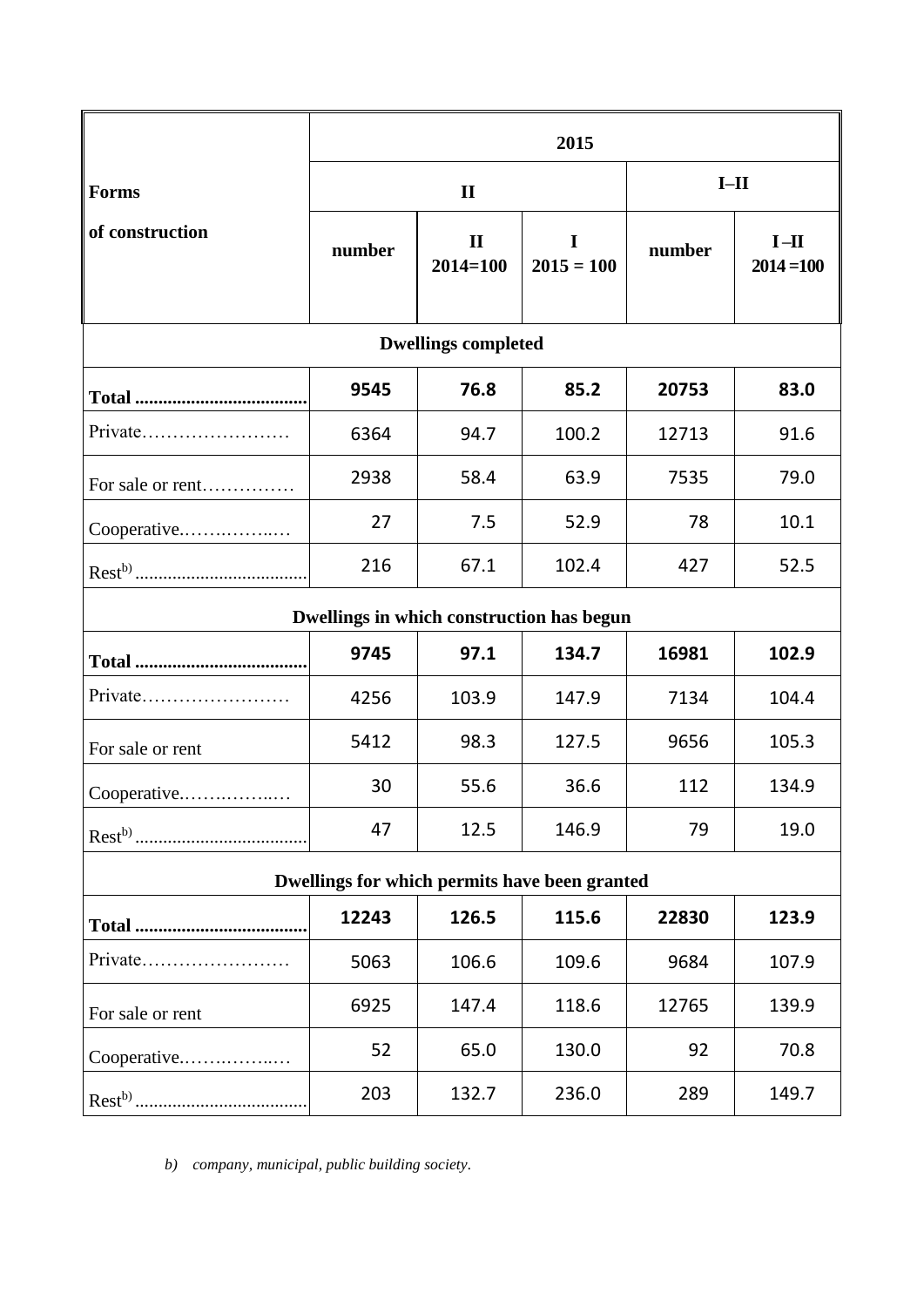|                                               | 2015         |                              |                   |        |                        |
|-----------------------------------------------|--------------|------------------------------|-------------------|--------|------------------------|
| <b>Forms</b>                                  | $\mathbf{I}$ |                              |                   | $I-II$ |                        |
| of construction                               | number       | $\mathbf{I}$<br>$2014 = 100$ | I<br>$2015 = 100$ | number | $I-II$<br>$2014 = 100$ |
| <b>Dwellings completed</b>                    |              |                              |                   |        |                        |
|                                               | 9545         | 76.8                         | 85.2              | 20753  | 83.0                   |
| Private                                       | 6364         | 94.7                         | 100.2             | 12713  | 91.6                   |
| For sale or rent                              | 2938         | 58.4                         | 63.9              | 7535   | 79.0                   |
| Cooperative                                   | 27           | 7.5                          | 52.9              | 78     | 10.1                   |
|                                               | 216          | 67.1                         | 102.4             | 427    | 52.5                   |
| Dwellings in which construction has begun     |              |                              |                   |        |                        |
|                                               | 9745         | 97.1                         | 134.7             | 16981  | 102.9                  |
| Private                                       | 4256         | 103.9                        | 147.9             | 7134   | 104.4                  |
| For sale or rent                              | 5412         | 98.3                         | 127.5             | 9656   | 105.3                  |
| Cooperative                                   | 30           | 55.6                         | 36.6              | 112    | 134.9                  |
|                                               | 47           | 12.5                         | 146.9             | 79     | 19.0                   |
| Dwellings for which permits have been granted |              |                              |                   |        |                        |
|                                               | 12243        | 126.5                        | 115.6             | 22830  | 123.9                  |
| Private                                       | 5063         | 106.6                        | 109.6             | 9684   | 107.9                  |
| For sale or rent                              | 6925         | 147.4                        | 118.6             | 12765  | 139.9                  |
| Cooperative                                   | 52           | 65.0                         | 130.0             | 92     | 70.8                   |
|                                               | 203          | 132.7                        | 236.0             | 289    | 149.7                  |

*b) company, municipal, public building society.*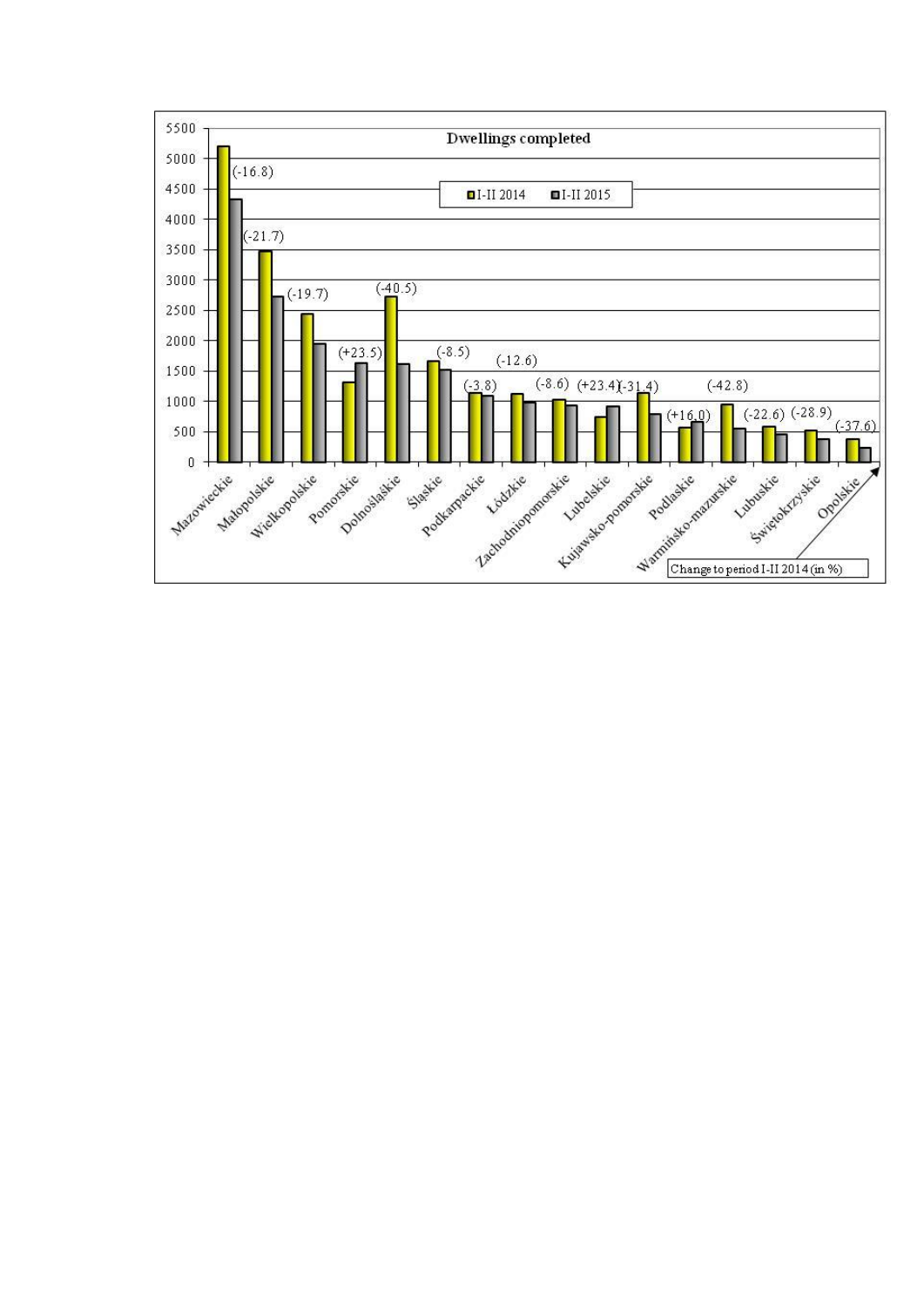